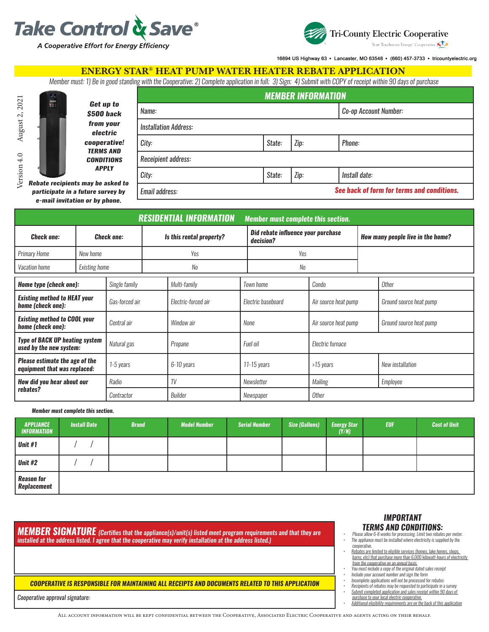



16894 US Highway 63 · Lancaster, MO 63548 · (660) 457-3733 · tricountyelectric.org

### ENERGY STAR® HEAT PUMP WATER HEATER REBATE APPLICATION

*Member must: 1) Be in good standing with the Cooperative; 2) Complete application in full; 3) Sign; 4) Submit with COPY of receipt within 90 days of purchase*

|                                                        |                                       | <b>MEMBER INFORMATION</b>    |        |                       |                                            |  |  |  |  |
|--------------------------------------------------------|---------------------------------------|------------------------------|--------|-----------------------|--------------------------------------------|--|--|--|--|
|                                                        | Get up to<br>\$500 back               | Name:                        |        | Co-op Account Number: |                                            |  |  |  |  |
|                                                        | from your<br>electric                 | <b>Installation Address:</b> |        |                       |                                            |  |  |  |  |
|                                                        | cooperative!                          | City:                        | State: | Zip:                  | Phone:                                     |  |  |  |  |
|                                                        | <b>TERMS AND</b><br><b>CONDITIONS</b> | Receipient address:          |        |                       |                                            |  |  |  |  |
|                                                        | <b>APPLY</b>                          | City:                        | State: | Zip:                  | Install date:                              |  |  |  |  |
| cipients may be asked to:<br>ate in a future survey by |                                       | Email address:               |        |                       | See back of form for terms and conditions. |  |  |  |  |

Version 4.0 August 2, 2021 Version 4.0 August 2, 2021 *Rebate re* particip *e-mail invitation or by phone.*

|                                                                       |                      |                |                          | <b>RESIDENTIAL INFORMATION</b> | <b>Member must complete this section.</b> |                                                 |                      |                                   |                         |  |  |
|-----------------------------------------------------------------------|----------------------|----------------|--------------------------|--------------------------------|-------------------------------------------|-------------------------------------------------|----------------------|-----------------------------------|-------------------------|--|--|
| <b>Check one:</b>                                                     | <b>Check one:</b>    |                | Is this rental property? |                                |                                           | Did rebate influence your purchase<br>decision? |                      | How many people live in the home? |                         |  |  |
| <b>Primary Home</b>                                                   | New home             |                |                          | Yes                            |                                           | Yes                                             |                      |                                   |                         |  |  |
| Vacation home                                                         | <b>Existing home</b> |                |                          | No                             |                                           | No                                              |                      |                                   |                         |  |  |
| Home type (check one):                                                |                      | Single family  |                          | Multi-family                   |                                           | Town home                                       | Condo                |                                   | <b>Other</b>            |  |  |
| <b>Existing method to HEAT your</b><br>home (check one):              |                      | Gas-forced air |                          | Electric-forced air            |                                           | Electric baseboard                              | Air source heat pump |                                   | Ground source heat pump |  |  |
| <b>Existing method to COOL your</b><br>home (check one):              |                      | Central air    |                          | Window air                     |                                           | None                                            | Air source heat pump |                                   | Ground source heat pump |  |  |
| <b>Type of BACK UP heating system</b><br>used by the new system:      |                      | Natural gas    |                          | Propane                        |                                           | Electric furnace<br>Fuel oil                    |                      |                                   |                         |  |  |
| <b>Please estimate the age of the</b><br>equipment that was replaced: |                      | 1-5 years      |                          | 6-10 years                     | 11-15 years                               |                                                 | >15 years            |                                   | New installation        |  |  |
| How did you hear about our                                            | Radio<br>Contractor  |                |                          | TV                             |                                           | Newsletter                                      | Mailing              | Employee                          |                         |  |  |
| rebates?                                                              |                      |                | Builder                  |                                |                                           | <b>Other</b><br>Newspaper                       |                      |                                   |                         |  |  |

#### *Member must complete this section.*

| <b>APPLIANCE</b><br><b>INFORMATION</b>  | <b>Install Date</b> | <b>Brand</b> | <b>Model Number</b> | <b>Serial Number</b> | <b>Size (Gallons)</b> | <b>Energy Star</b><br>(Y/N) | <b>EUF</b> | <b>Cost of Unit</b> |
|-----------------------------------------|---------------------|--------------|---------------------|----------------------|-----------------------|-----------------------------|------------|---------------------|
| Unit #1                                 |                     |              |                     |                      |                       |                             |            |                     |
| Unit #2                                 |                     |              |                     |                      |                       |                             |            |                     |
| <b>Reason for</b><br><b>Replacement</b> |                     |              |                     |                      |                       |                             |            |                     |

*MEMBER SIGNATURE (Certifies that the appliance(s)/unit(s) listed meet program requirements and that they are installed at the address listed. I agree that the cooperative may verify installation at the address listed.)*

### *COOPERATIVE IS RESPONSIBLE FOR MAINTAINING ALL RECEIPTS AND DOCUMENTS RELATED TO THIS APPLICATION*

*Cooperative approval signature:*

*• Additional eligibility requirements are on the back of this application*

# *IMPORTANT*

- *TERMS AND CONDITIONS: • Please allow 6-8 weeks for processing. Limit two rebates per meter. • The appliance must be installed where electricity is supplied by the cooperative.*
- *• Rebates are limited to eligible services (homes, lake homes, shops, barns, etc) that purchase more than 6,000 kilowatt-hours of electricity from the cooperative on an annual basis.*
- *• You must include a copy of the original dated sales receipt*
- *• Include your account number and sign the form*
- *• Incomplete applications will not be processed for rebates • Recipients of rebates may be requested to participate in a survey*
- *• Submit completed application and sales receipt within 90 days of*
- *purchase to your local electric cooperative.*